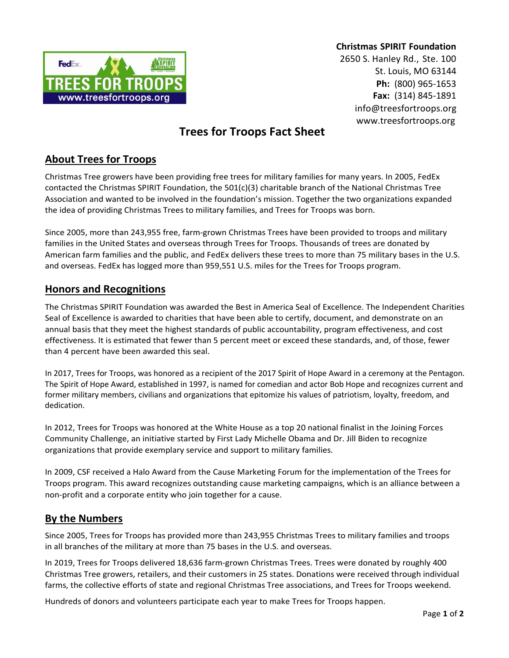

**Christmas SPIRIT Foundation**

2650 S. Hanley Rd., Ste. 100 St. Louis, MO 63144 **Ph:** (800) 965-1653 **Fax:** (314) 845-1891 [info@treesfortroops.org](mailto:info@treesfortroops.org) [www.treesfortroops.org](http://www.treesfortroops.org/)

# **Trees for Troops Fact Sheet**

## **About Trees for Troops**

Christmas Tree growers have been providing free trees for military families for many years. In 2005, FedEx contacted the Christmas SPIRIT Foundation, the 501(c)(3) charitable branch of the National Christmas Tree Association and wanted to be involved in the foundation's mission. Together the two organizations expanded the idea of providing Christmas Trees to military families, and Trees for Troops was born.

Since 2005, more than 243,955 free, farm-grown Christmas Trees have been provided to troops and military families in the United States and overseas through Trees for Troops. Thousands of trees are donated by American farm families and the public, and FedEx delivers these trees to more than 75 military bases in the U.S. and overseas. FedEx has logged more than 959,551 U.S. miles for the Trees for Troops program.

### **Honors and Recognitions**

The Christmas SPIRIT Foundation was awarded the Best in America Seal of Excellence. The Independent Charities Seal of Excellence is awarded to charities that have been able to certify, document, and demonstrate on an annual basis that they meet the highest standards of public accountability, program effectiveness, and cost effectiveness. It is estimated that fewer than 5 percent meet or exceed these standards, and, of those, fewer than 4 percent have been awarded this seal.

In 2017, Trees for Troops, was honored as a recipient of the 2017 Spirit of Hope Award in a ceremony at the Pentagon. The Spirit of Hope Award, established in 1997, is named for comedian and actor Bob Hope and recognizes current and former military members, civilians and organizations that epitomize his values of patriotism, loyalty, freedom, and dedication.

In 2012, Trees for Troops was honored at the White House as a top 20 national finalist in the Joining Forces Community Challenge, an initiative started by First Lady Michelle Obama and Dr. Jill Biden to recognize organizations that provide exemplary service and support to military families.

In 2009, CSF received a Halo Award from the Cause Marketing Forum for the implementation of the Trees for Troops program. This award recognizes outstanding cause marketing campaigns, which is an alliance between a non-profit and a corporate entity who join together for a cause.

### **By the Numbers**

Since 2005, Trees for Troops has provided more than 243,955 Christmas Trees to military families and troops in all branches of the military at more than 75 bases in the U.S. and overseas.

In 2019, Trees for Troops delivered 18,636 farm-grown Christmas Trees. Trees were donated by roughly 400 Christmas Tree growers, retailers, and their customers in 25 states. Donations were received through individual farms, the collective efforts of state and regional Christmas Tree associations, and Trees for Troops weekend.

Hundreds of donors and volunteers participate each year to make Trees for Troops happen.